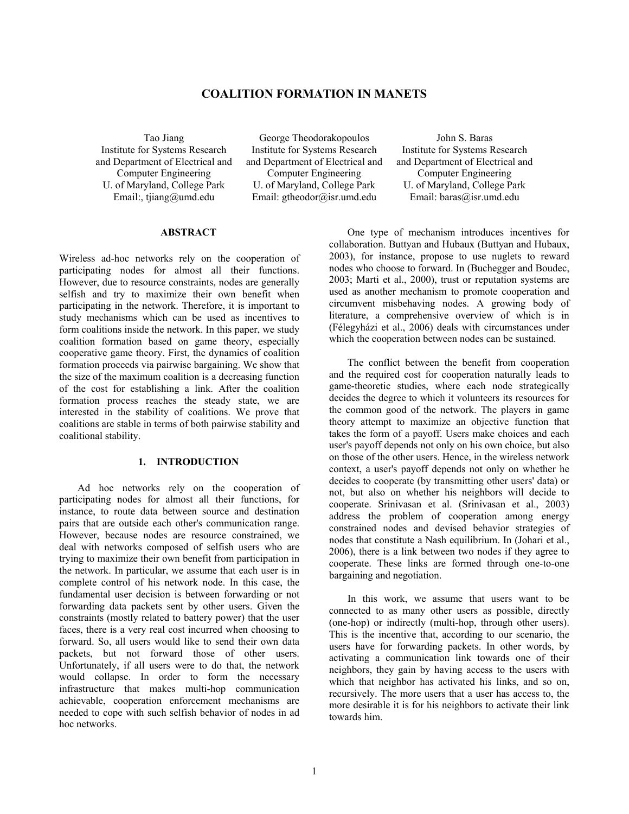# **COALITION FORMATION IN MANETS**

Tao Jiang Institute for Systems Research and Department of Electrical and Computer Engineering U. of Maryland, College Park Email:, tjiang@umd.edu

George Theodorakopoulos Institute for Systems Research and Department of Electrical and Computer Engineering U. of Maryland, College Park Email: gtheodor@isr.umd.edu

John S. Baras Institute for Systems Research and Department of Electrical and Computer Engineering U. of Maryland, College Park Email: baras@isr.umd.edu

# **ABSTRACT**

Wireless ad-hoc networks rely on the cooperation of participating nodes for almost all their functions. However, due to resource constraints, nodes are generally selfish and try to maximize their own benefit when participating in the network. Therefore, it is important to study mechanisms which can be used as incentives to form coalitions inside the network. In this paper, we study coalition formation based on game theory, especially cooperative game theory. First, the dynamics of coalition formation proceeds via pairwise bargaining. We show that the size of the maximum coalition is a decreasing function of the cost for establishing a link. After the coalition formation process reaches the steady state, we are interested in the stability of coalitions. We prove that coalitions are stable in terms of both pairwise stability and coalitional stability.

### **1. INTRODUCTION**

Ad hoc networks rely on the cooperation of participating nodes for almost all their functions, for instance, to route data between source and destination pairs that are outside each other's communication range. However, because nodes are resource constrained, we deal with networks composed of selfish users who are trying to maximize their own benefit from participation in the network. In particular, we assume that each user is in complete control of his network node. In this case, the fundamental user decision is between forwarding or not forwarding data packets sent by other users. Given the constraints (mostly related to battery power) that the user faces, there is a very real cost incurred when choosing to forward. So, all users would like to send their own data packets, but not forward those of other users. Unfortunately, if all users were to do that, the network would collapse. In order to form the necessary infrastructure that makes multi-hop communication achievable, cooperation enforcement mechanisms are needed to cope with such selfish behavior of nodes in ad hoc networks.

One type of mechanism introduces incentives for collaboration. Buttyan and Hubaux (Buttyan and Hubaux, 2003), for instance, propose to use nuglets to reward nodes who choose to forward. In (Buchegger and Boudec, 2003; Marti et al., 2000), trust or reputation systems are used as another mechanism to promote cooperation and circumvent misbehaving nodes. A growing body of literature, a comprehensive overview of which is in (Félegyházi et al., 2006) deals with circumstances under which the cooperation between nodes can be sustained.

The conflict between the benefit from cooperation and the required cost for cooperation naturally leads to game-theoretic studies, where each node strategically decides the degree to which it volunteers its resources for the common good of the network. The players in game theory attempt to maximize an objective function that takes the form of a payoff. Users make choices and each user's payoff depends not only on his own choice, but also on those of the other users. Hence, in the wireless network context, a user's payoff depends not only on whether he decides to cooperate (by transmitting other users' data) or not, but also on whether his neighbors will decide to cooperate. Srinivasan et al. (Srinivasan et al., 2003) address the problem of cooperation among energy constrained nodes and devised behavior strategies of nodes that constitute a Nash equilibrium. In (Johari et al., 2006), there is a link between two nodes if they agree to cooperate. These links are formed through one-to-one bargaining and negotiation.

In this work, we assume that users want to be connected to as many other users as possible, directly (one-hop) or indirectly (multi-hop, through other users). This is the incentive that, according to our scenario, the users have for forwarding packets. In other words, by activating a communication link towards one of their neighbors, they gain by having access to the users with which that neighbor has activated his links, and so on, recursively. The more users that a user has access to, the more desirable it is for his neighbors to activate their link towards him.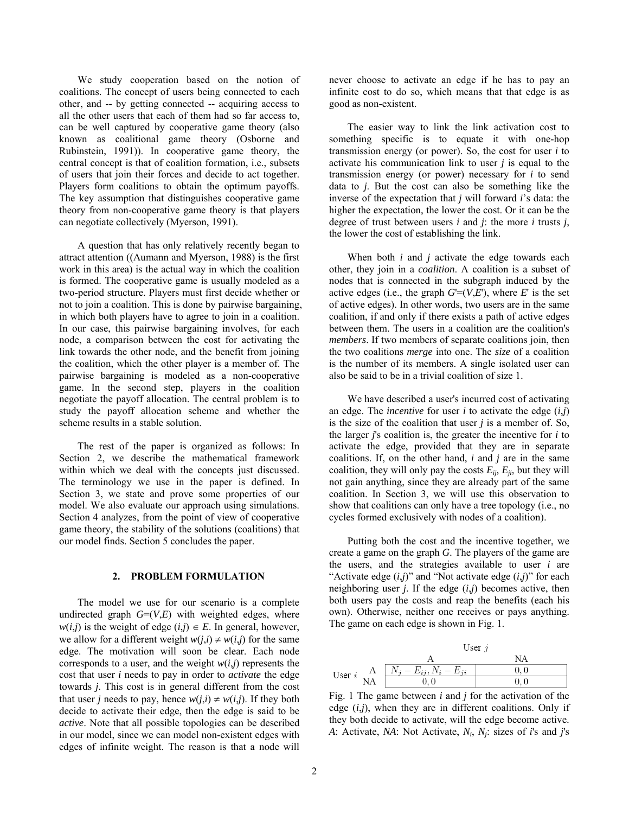We study cooperation based on the notion of coalitions. The concept of users being connected to each other, and -- by getting connected -- acquiring access to all the other users that each of them had so far access to, can be well captured by cooperative game theory (also known as coalitional game theory (Osborne and Rubinstein, 1991)). In cooperative game theory, the central concept is that of coalition formation, i.e., subsets of users that join their forces and decide to act together. Players form coalitions to obtain the optimum payoffs. The key assumption that distinguishes cooperative game theory from non-cooperative game theory is that players can negotiate collectively (Myerson, 1991).

A question that has only relatively recently began to attract attention ((Aumann and Myerson, 1988) is the first work in this area) is the actual way in which the coalition is formed. The cooperative game is usually modeled as a two-period structure. Players must first decide whether or not to join a coalition. This is done by pairwise bargaining, in which both players have to agree to join in a coalition. In our case, this pairwise bargaining involves, for each node, a comparison between the cost for activating the link towards the other node, and the benefit from joining the coalition, which the other player is a member of. The pairwise bargaining is modeled as a non-cooperative game. In the second step, players in the coalition negotiate the payoff allocation. The central problem is to study the payoff allocation scheme and whether the scheme results in a stable solution.

The rest of the paper is organized as follows: In Section 2, we describe the mathematical framework within which we deal with the concepts just discussed. The terminology we use in the paper is defined. In Section 3, we state and prove some properties of our model. We also evaluate our approach using simulations. Section 4 analyzes, from the point of view of cooperative game theory, the stability of the solutions (coalitions) that our model finds. Section 5 concludes the paper.

# **2. PROBLEM FORMULATION**

The model we use for our scenario is a complete undirected graph  $G=(V,E)$  with weighted edges, where  $w(i,j)$  is the weight of edge  $(i,j) \in E$ . In general, however, we allow for a different weight  $w(j,i) \neq w(i,j)$  for the same edge. The motivation will soon be clear. Each node corresponds to a user, and the weight  $w(i,j)$  represents the cost that user *i* needs to pay in order to *activate* the edge towards *j*. This cost is in general different from the cost that user *j* needs to pay, hence  $w(j,i) \neq w(i,j)$ . If they both decide to activate their edge, then the edge is said to be *active*. Note that all possible topologies can be described in our model, since we can model non-existent edges with edges of infinite weight. The reason is that a node will

never choose to activate an edge if he has to pay an infinite cost to do so, which means that that edge is as good as non-existent.

The easier way to link the link activation cost to something specific is to equate it with one-hop transmission energy (or power). So, the cost for user *i* to activate his communication link to user *j* is equal to the transmission energy (or power) necessary for *i* to send data to *j*. But the cost can also be something like the inverse of the expectation that *j* will forward *i*'s data: the higher the expectation, the lower the cost. Or it can be the degree of trust between users *i* and *j*: the more *i* trusts *j*, the lower the cost of establishing the link.

When both *i* and *j* activate the edge towards each other, they join in a *coalition*. A coalition is a subset of nodes that is connected in the subgraph induced by the active edges (i.e., the graph  $G=(V,E)$ , where *E*' is the set of active edges). In other words, two users are in the same coalition, if and only if there exists a path of active edges between them. The users in a coalition are the coalition's *members*. If two members of separate coalitions join, then the two coalitions *merge* into one. The *size* of a coalition is the number of its members. A single isolated user can also be said to be in a trivial coalition of size 1.

We have described a user's incurred cost of activating an edge. The *incentive* for user *i* to activate the edge (*i*,*j*) is the size of the coalition that user *j* is a member of. So, the larger *j*'s coalition is, the greater the incentive for *i* to activate the edge, provided that they are in separate coalitions. If, on the other hand, *i* and *j* are in the same coalition, they will only pay the costs  $E_{ii}$ ,  $E_{ii}$ , but they will not gain anything, since they are already part of the same coalition. In Section 3, we will use this observation to show that coalitions can only have a tree topology (i.e., no cycles formed exclusively with nodes of a coalition).

Putting both the cost and the incentive together, we create a game on the graph *G*. The players of the game are the users, and the strategies available to user *i* are "Activate edge  $(i,j)$ " and "Not activate edge  $(i,j)$ " for each neighboring user *j*. If the edge (*i*,*j*) becomes active, then both users pay the costs and reap the benefits (each his own). Otherwise, neither one receives or pays anything. The game on each edge is shown in Fig. 1.



Fig. 1 The game between *i* and *j* for the activation of the edge  $(i,j)$ , when they are in different coalitions. Only if they both decide to activate, will the edge become active. *A*: Activate, *NA*: Not Activate, *Ni*, *Nj*: sizes of *i*'s and *j*'s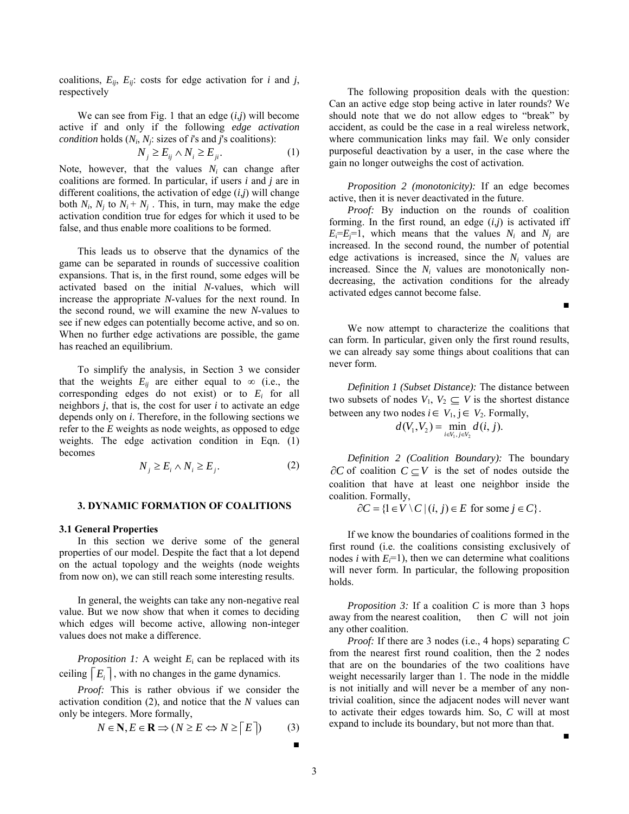coalitions,  $E_{ij}$ ,  $E_{ij}$ : costs for edge activation for *i* and *j*, respectively

We can see from Fig. 1 that an edge (*i*,*j*) will become active if and only if the following *edge activation condition* holds  $(N_i, N_j)$ : sizes of *i*'s and *j*'s coalitions):

$$
N_j \ge E_{ij} \wedge N_i \ge E_{ji}.\tag{1}
$$

<span id="page-2-0"></span>Note, however, that the values  $N_i$  can change after coalitions are formed. In particular, if users *i* and *j* are in different coalitions, the activation of edge (*i*,*j*) will change both  $N_i$ ,  $N_j$  to  $N_i + N_j$ . This, in turn, may make the edge activation condition true for edges for which it used to be false, and thus enable more coalitions to be formed.

This leads us to observe that the dynamics of the game can be separated in rounds of successive coalition expansions. That is, in the first round, some edges will be activated based on the initial *N*-values, which will increase the appropriate *N*-values for the next round. In the second round, we will examine the new *N*-values to see if new edges can potentially become active, and so on. When no further edge activations are possible, the game has reached an equilibrium.

To simplify the analysis, in Section 3 we consider that the weights  $E_{ij}$  are either equal to  $\infty$  (i.e., the corresponding edges do not exist) or to *Ei* for all neighbors *j*, that is, the cost for user *i* to activate an edge depends only on *i*. Therefore, in the following sections we refer to the *E* weights as node weights, as opposed to edge weights. The edge activation condition in Eqn. [\(1\)](#page-2-0) becomes

$$
N_j \ge E_i \wedge N_i \ge E_j. \tag{2}
$$

## <span id="page-2-1"></span>**3. DYNAMIC FORMATION OF COALITIONS**

#### **3.1 General Properties**

In this section we derive some of the general properties of our model. Despite the fact that a lot depend on the actual topology and the weights (node weights from now on), we can still reach some interesting results.

In general, the weights can take any non-negative real value. But we now show that when it comes to deciding which edges will become active, allowing non-integer values does not make a difference.

*Proposition 1:* A weight *E*i can be replaced with its ceiling  $E_i$ , with no changes in the game dynamics.

*Proof:* This is rather obvious if we consider the activation condition [\(2\)](#page-2-1), and notice that the *N* values can only be integers. More formally,

$$
N \in \mathbf{N}, E \in \mathbf{R} \implies (N \ge E \Leftrightarrow N \ge \lceil E \rceil) \tag{3}
$$

The following proposition deals with the question: Can an active edge stop being active in later rounds? We should note that we do not allow edges to "break" by accident, as could be the case in a real wireless network, where communication links may fail. We only consider purposeful deactivation by a user, in the case where the gain no longer outweighs the cost of activation.

*Proposition 2 (monotonicity):* If an edge becomes active, then it is never deactivated in the future.

*Proof:* By induction on the rounds of coalition forming. In the first round, an edge  $(i,j)$  is activated iff  $E_i=E_i=1$ , which means that the values  $N_i$  and  $N_j$  are increased. In the second round, the number of potential edge activations is increased, since the  $N_i$  values are increased. Since the  $N_i$  values are monotonically nondecreasing, the activation conditions for the already activated edges cannot become false.

We now attempt to characterize the coalitions that can form. In particular, given only the first round results, we can already say some things about coalitions that can never form.

*Definition 1 (Subset Distance):* The distance between two subsets of nodes  $V_1$ ,  $V_2 \subseteq V$  is the shortest distance between any two nodes  $i \in V_1$ ,  $j \in V_2$ . Formally,

$$
d(V_1, V_2) = \min_{i \in V_1, j \in V_2} d(i, j).
$$

*Definition 2 (Coalition Boundary):* The boundary  $\partial C$  of coalition  $C \subseteq V$  is the set of nodes outside the coalition that have at least one neighbor inside the coalition. Formally,

 $\partial C = \{1 \in V \setminus C \mid (i, j) \in E \text{ for some } j \in C\}.$ 

If we know the boundaries of coalitions formed in the first round (i.e. the coalitions consisting exclusively of nodes *i* with  $E_i=1$ ), then we can determine what coalitions will never form. In particular, the following proposition holds.

*Proposition 3:* If a coalition *C* is more than 3 hops away from the nearest coalition, then *C* will not join any other coalition.

*Proof:* If there are 3 nodes (i.e., 4 hops) separating *C* from the nearest first round coalition, then the 2 nodes that are on the boundaries of the two coalitions have weight necessarily larger than 1. The node in the middle is not initially and will never be a member of any nontrivial coalition, since the adjacent nodes will never want to activate their edges towards him. So, *C* will at most expand to include its boundary, but not more than that.

■

■

■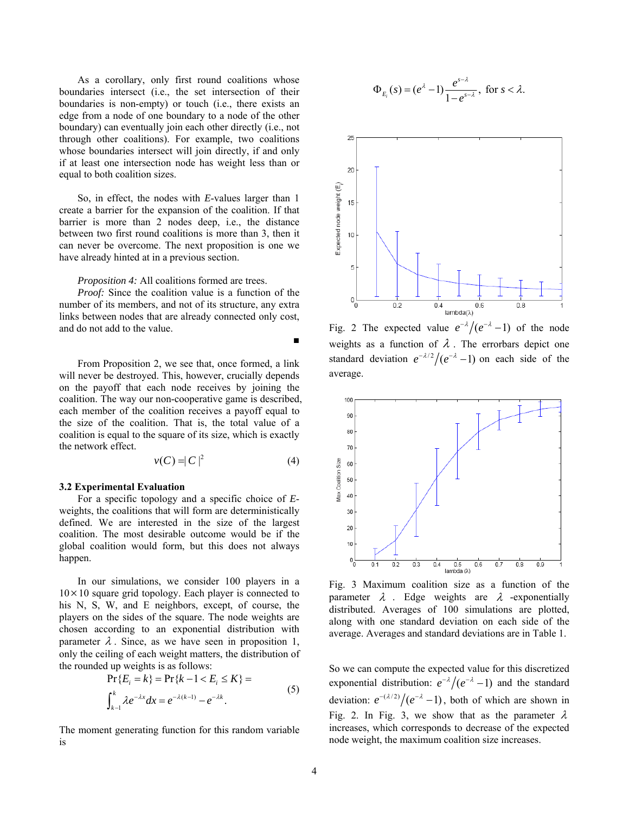As a corollary, only first round coalitions whose boundaries intersect (i.e., the set intersection of their boundaries is non-empty) or touch (i.e., there exists an edge from a node of one boundary to a node of the other boundary) can eventually join each other directly (i.e., not through other coalitions). For example, two coalitions whose boundaries intersect will join directly, if and only if at least one intersection node has weight less than or equal to both coalition sizes.

So, in effect, the nodes with *E*-values larger than 1 create a barrier for the expansion of the coalition. If that barrier is more than 2 nodes deep, i.e., the distance between two first round coalitions is more than 3, then it can never be overcome. The next proposition is one we have already hinted at in a previous section.

*Proposition 4:* All coalitions formed are trees.

*Proof:* Since the coalition value is a function of the number of its members, and not of its structure, any extra links between nodes that are already connected only cost, and do not add to the value.

From Proposition 2, we see that, once formed, a link will never be destroyed. This, however, crucially depends on the payoff that each node receives by joining the coalition. The way our non-cooperative game is described, each member of the coalition receives a payoff equal to the size of the coalition. That is, the total value of a coalition is equal to the square of its size, which is exactly the network effect.

$$
v(C) = |C|^2 \tag{4}
$$

■

#### **3.2 Experimental Evaluation**

For a specific topology and a specific choice of *E*weights, the coalitions that will form are deterministically defined. We are interested in the size of the largest coalition. The most desirable outcome would be if the global coalition would form, but this does not always happen.

In our simulations, we consider 100 players in a  $10\times10$  square grid topology. Each player is connected to his N, S, W, and E neighbors, except, of course, the players on the sides of the square. The node weights are chosen according to an exponential distribution with parameter  $\lambda$ . Since, as we have seen in proposition 1, only the ceiling of each weight matters, the distribution of the rounded up weights is as follows:

$$
\Pr\{E_i = k\} = \Pr\{k - 1 < E_i \le K\} =
$$
\n
$$
\int_{k-1}^{k} \lambda e^{-\lambda x} dx = e^{-\lambda(k-1)} - e^{-\lambda k}.
$$
\n<sup>(5)</sup>

The moment generating function for this random variable is

$$
\Phi_{E_i}(s) = (e^{\lambda}-1)\frac{e^{s-\lambda}}{1-e^{s-\lambda}}, \text{ for } s < \lambda.
$$



Fig. 2 The expected value  $e^{-\lambda}/(e^{-\lambda}-1)$  of the node weights as a function of  $\lambda$ . The errorbars depict one standard deviation  $e^{-\lambda/2}/(e^{-\lambda}-1)$  on each side of the average.



Fig. 3 Maximum coalition size as a function of the parameter  $\lambda$ . Edge weights are  $\lambda$  -exponentially distributed. Averages of 100 simulations are plotted, along with one standard deviation on each side of the average. Averages and standard deviations are in Table 1.

So we can compute the expected value for this discretized exponential distribution:  $e^{-\lambda}/(e^{-\lambda}-1)$  and the standard deviation:  $e^{-(\lambda/2)}/(e^{-\lambda}-1)$ , both of which are shown in Fig. 2. In Fig. 3, we show that as the parameter  $\lambda$ increases, which corresponds to decrease of the expected node weight, the maximum coalition size increases.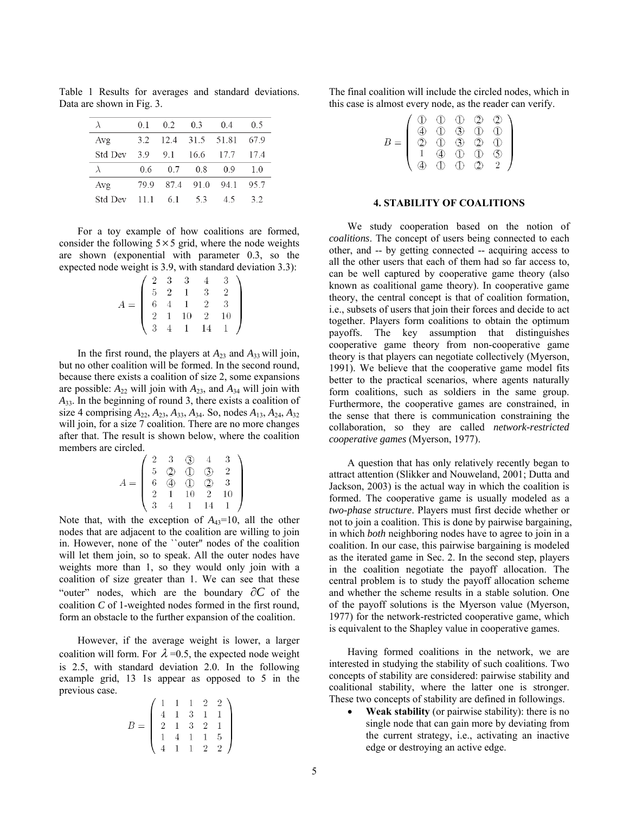$0.5$  $\lambda$  $0.1$  $0.2$  $0.3$  $0.4$  $3.2$ 12.4 31.5 51.81 67.9 Avg Std Dev 3.9 9.1 16.6 17.7 17.4  $\lambda$ 0.6  $0.7$  $0.8$  $0.9$  $1.0$ Avg 79.9 87.4 91.0 94.1 95.7 Std Dev 5.3  $11.1$ 6.1 4.5  $3.2$ 

Table 1 Results for averages and standard deviations. Data are shown in Fig. 3.

For a toy example of how coalitions are formed, consider the following  $5 \times 5$  grid, where the node weights are shown (exponential with parameter 0.3, so the expected node weight is 3.9, with standard deviation 3.3):

|  |  | $A = \begin{pmatrix} 2 & 3 & 3 & 4 & 3 \\ 5 & 2 & 1 & 3 & 2 \\ 6 & 4 & 1 & 2 & 3 \\ 2 & 1 & 10 & 2 & 10 \\ 3 & 4 & 1 & 14 & 1 \end{pmatrix}$ |
|--|--|----------------------------------------------------------------------------------------------------------------------------------------------|

In the first round, the players at  $A_{23}$  and  $A_{33}$  will join, but no other coalition will be formed. In the second round, because there exists a coalition of size 2, some expansions are possible:  $A_{22}$  will join with  $A_{23}$ , and  $A_{34}$  will join with *A*33. In the beginning of round 3, there exists a coalition of size 4 comprising *A*22, *A*23, *A*33, *A*34. So, nodes *A*13, *A*24, *A*<sup>32</sup> will join, for a size 7 coalition. There are no more changes after that. The result is shown below, where the coalition members are circled.

$$
A = \begin{pmatrix} 2 & 3 & \textcircled{3} & 4 & 3 \\ 5 & \textcircled{2} & \textcircled{1} & \textcircled{3} & 2 \\ 6 & \textcircled{4} & \textcircled{1} & \textcircled{2} & 3 \\ 2 & 1 & 10 & 2 & 10 \\ 3 & 4 & 1 & 14 & 1 \end{pmatrix}
$$

Note that, with the exception of  $A_{43}=10$ , all the other nodes that are adjacent to the coalition are willing to join in. However, none of the ``outer'' nodes of the coalition will let them join, so to speak. All the outer nodes have weights more than 1, so they would only join with a coalition of size greater than 1. We can see that these "outer" nodes, which are the boundary  $\partial C$  of the coalition *C* of 1-weighted nodes formed in the first round, form an obstacle to the further expansion of the coalition.

However, if the average weight is lower, a larger coalition will form. For  $\lambda = 0.5$ , the expected node weight is 2.5, with standard deviation 2.0. In the following example grid, 13 1s appear as opposed to 5 in the previous case.  $(1 \ 1 \ 1 \ 9 \ 9)$ 

$$
B = \left( \begin{array}{rrrrr} 1 & 1 & 1 & 2 & 2 \\ 4 & 1 & 3 & 1 & 1 \\ 2 & 1 & 3 & 2 & 1 \\ 1 & 4 & 1 & 1 & 5 \\ 4 & 1 & 1 & 2 & 2 \end{array} \right)
$$

The final coalition will include the circled nodes, which in this case is almost every node, as the reader can verify.

|     |               | D          | $\bigcirc$             | $\circledcirc$ | $\circledcirc$          |
|-----|---------------|------------|------------------------|----------------|-------------------------|
|     |               | $\bigcap$  | $\overline{3}$         | $\bigcap$      | $\bigcap$               |
| $=$ | $\mathcal{D}$ | $\bigcirc$ | $\circled{3}$          | $\mathcal{D}$  | (1)                     |
|     |               |            | $\tilde{(\mathbb{D})}$ | D              | $\widehat{\mathcal{F}}$ |
|     |               |            | $\overline{D}$         | D)             |                         |

#### **4. STABILITY OF COALITIONS**

We study cooperation based on the notion of *coalitions*. The concept of users being connected to each other, and -- by getting connected -- acquiring access to all the other users that each of them had so far access to, can be well captured by cooperative game theory (also known as coalitional game theory). In cooperative game theory, the central concept is that of coalition formation, i.e., subsets of users that join their forces and decide to act together. Players form coalitions to obtain the optimum payoffs. The key assumption that distinguishes cooperative game theory from non-cooperative game theory is that players can negotiate collectively (Myerson, 1991). We believe that the cooperative game model fits better to the practical scenarios, where agents naturally form coalitions, such as soldiers in the same group. Furthermore, the cooperative games are constrained, in the sense that there is communication constraining the collaboration, so they are called *network-restricted cooperative games* (Myerson, 1977).

A question that has only relatively recently began to attract attention (Slikker and Nouweland, 2001; Dutta and Jackson, 2003) is the actual way in which the coalition is formed. The cooperative game is usually modeled as a *two-phase structure*. Players must first decide whether or not to join a coalition. This is done by pairwise bargaining, in which *both* neighboring nodes have to agree to join in a coalition. In our case, this pairwise bargaining is modeled as the iterated game in Sec. 2. In the second step, players in the coalition negotiate the payoff allocation. The central problem is to study the payoff allocation scheme and whether the scheme results in a stable solution. One of the payoff solutions is the Myerson value (Myerson, 1977) for the network-restricted cooperative game, which is equivalent to the Shapley value in cooperative games.

Having formed coalitions in the network, we are interested in studying the stability of such coalitions. Two concepts of stability are considered: pairwise stability and coalitional stability, where the latter one is stronger. These two concepts of stability are defined in followings.

• **Weak stability** (or pairwise stability): there is no single node that can gain more by deviating from the current strategy, i.e., activating an inactive edge or destroying an active edge.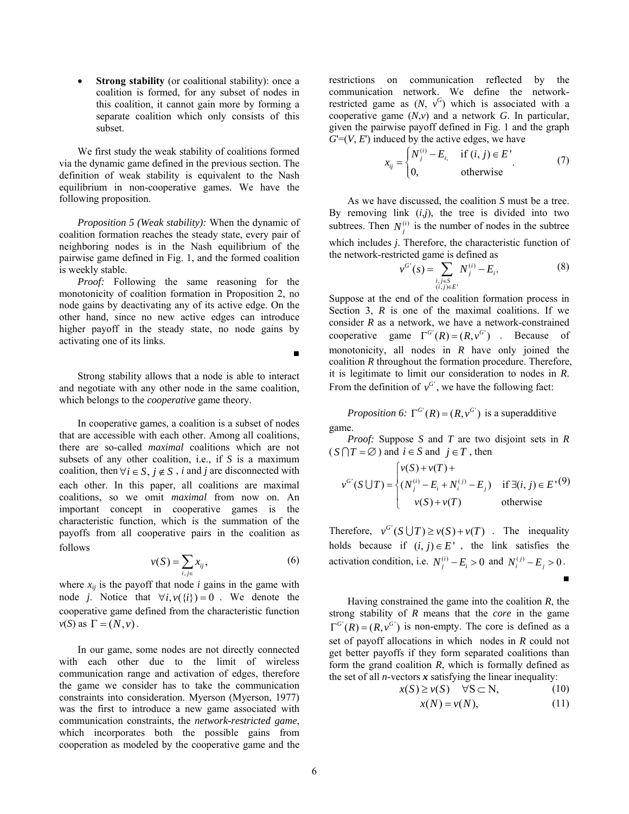• **Strong stability** (or coalitional stability): once a coalition is formed, for any subset of nodes in this coalition, it cannot gain more by forming a separate coalition which only consists of this subset.

We first study the weak stability of coalitions formed via the dynamic game defined in the previous section. The definition of weak stability is equivalent to the Nash equilibrium in non-cooperative games. We have the following proposition.

*Proposition 5 (Weak stability):* When the dynamic of coalition formation reaches the steady state, every pair of neighboring nodes is in the Nash equilibrium of the pairwise game defined in Fig. 1, and the formed coalition is weekly stable.

*Proof:* Following the same reasoning for the monotonicity of coalition formation in Proposition 2, no node gains by deactivating any of its active edge. On the other hand, since no new active edges can introduce higher payoff in the steady state, no node gains by activating one of its links.

Strong stability allows that a node is able to interact and negotiate with any other node in the same coalition, which belongs to the *cooperative* game theory.

In cooperative games, a coalition is a subset of nodes that are accessible with each other. Among all coalitions, there are so-called *maximal* coalitions which are not subsets of any other coalition, i.e., if *S* is a maximum coalition, then  $\forall i \in S$ ,  $j \notin S$ , *i* and *j* are disconnected with each other. In this paper, all coalitions are maximal coalitions, so we omit *maximal* from now on. An important concept in cooperative games is the characteristic function, which is the summation of the payoffs from all cooperative pairs in the coalition as follows

$$
v(S) = \sum_{i,j \in} x_{ij},\tag{6}
$$

where  $x_{ii}$  is the payoff that node  $i$  gains in the game with node *j*. Notice that  $\forall i, v(\{i\}) = 0$ . We denote the cooperative game defined from the characteristic function  $v(S)$  as  $\Gamma = (N, v)$ .

In our game, some nodes are not directly connected with each other due to the limit of wireless communication range and activation of edges, therefore the game we consider has to take the communication constraints into consideration. Myerson (Myerson, 1977) was the first to introduce a new game associated with communication constraints, the *network-restricted game*, which incorporates both the possible gains from cooperation as modeled by the cooperative game and the

restrictions on communication reflected by the communication network. We define the networkrestricted game as  $(N, v^G)$  which is associated with a cooperative game (*N*,*v*) and a network *G*. In particular, given the pairwise payoff defined in Fig. 1 and the graph  $G=(V, E)$  induced by the active edges, we have

$$
x_{ij} = \begin{cases} N_j^{(i)} - E_i & \text{if } (i, j) \in E \\ 0, & \text{otherwise} \end{cases}
$$
 (7)

 As we have discussed, the coalition *S* must be a tree. By removing link  $(i,j)$ , the tree is divided into two subtrees. Then  $N_i^{(i)}$  is the number of nodes in the subtree which includes *j*. Therefore, the characteristic function of the network-restricted game is defined as

$$
\nu^{G'}(s) = \sum_{\substack{i,j \in S \\ (i,j) \in E'}} N_j^{(i)} - E_i.
$$
 (8)

Suppose at the end of the coalition formation process in Section 3,  $R$  is one of the maximal coalitions. If we consider *R* as a network, we have a network-constrained cooperative game  $\Gamma^{G'}(R) = (R, v^{G'})$ . Because of monotonicity, all nodes in *R* have only joined the coalition *R* throughout the formation procedure. Therefore, it is legitimate to limit our consideration to nodes in *R*. From the definition of  $v^G$ , we have the following fact:

*Proposition 6:*  $\Gamma^{G'}(R) = (R, v^{G'})$  is a superadditive game.

*Proof:* Suppose *S* and *T* are two disjoint sets in *R*  $(S \cap T = \emptyset)$  and  $i \in S$  and  $j \in T$ , then

$$
v^{G'}(S \cup T) = \begin{cases} v(S) + v(T) + \\ (N_j^{(i)} - E_i + N_i^{(j)} - E_j) & \text{if } \exists (i, j) \in E^{\prime}(9) \\ v(S) + v(T) & \text{otherwise} \end{cases}
$$

Therefore,  $v^{G'}(S \cup T) \ge v(S) + v(T)$ . The inequality holds because if  $(i, j) \in E'$ , the link satisfies the activation condition, i.e.  $N_i^{(i)} - E_i > 0$  and  $N_i^{(i)} - E_i > 0$ . ■

Having constrained the game into the coalition *R*, the strong stability of *R* means that the *core* in the game  $\Gamma^{G'}(R) = (R, v^G)$  is non-empty. The core is defined as a set of payoff allocations in which nodes in *R* could not get better payoffs if they form separated coalitions than form the grand coalition *R*, which is formally defined as the set of all *n*-vectors  $x$  satisfying the linear inequality:

$$
x(S) \ge v(S) \quad \forall S \subset N,
$$
 (10)

$$
x(N) = v(N), \tag{11}
$$

■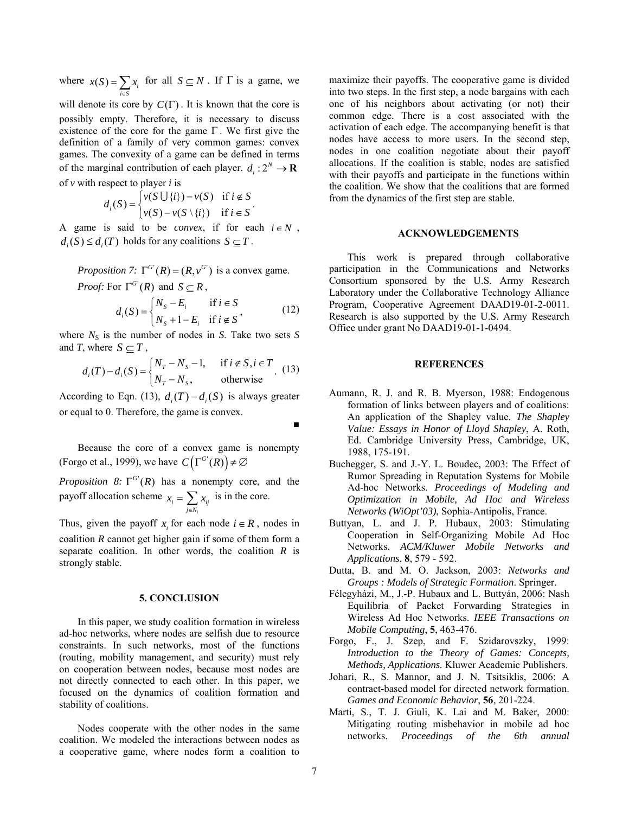where  $x(S) = \sum_{i \in S} x_i$ *x S*  $=\sum_{i\in S} x_i$  for all  $S \subseteq N$ . If  $\Gamma$  is a game, we

will denote its core by  $C(\Gamma)$ . It is known that the core is possibly empty. Therefore, it is necessary to discuss existence of the core for the game  $\Gamma$ . We first give the definition of a family of very common games: convex games. The convexity of a game can be defined in terms of the marginal contribution of each player.  $d_i: 2^N \to \mathbf{R}$ of *v* with respect to player *i* is

$$
d_i(S) = \begin{cases} v(S \cup \{i\}) - v(S) & \text{if } i \notin S \\ v(S) - v(S \setminus \{i\}) & \text{if } i \in S \end{cases}
$$

A game is said to be *convex*, if for each  $i \in N$ ,  $d_i(S) \leq d_i(T)$  holds for any coalitions  $S \subseteq T$ .

*Proposition 7:*  $\Gamma^{G'}(R) = (R, v^G)$  is a convex game. *Proof:* For  $\Gamma^{G'}(R)$  and  $S \subseteq R$ ,

$$
d_i(S) = \begin{cases} N_S - E_i & \text{if } i \in S \\ N_S + 1 - E_i & \text{if } i \notin S \end{cases}
$$
 (12)

<span id="page-6-0"></span>where  $N<sub>S</sub>$  is the number of nodes in *S*. Take two sets *S* and *T*, where  $S \subset T$ ,

$$
d_i(T) - d_i(S) = \begin{cases} N_T - N_S - 1, & \text{if } i \notin S, i \in T \\ N_T - N_S, & \text{otherwise} \end{cases}
$$
 (13)

According to Eqn. [\(13\),](#page-6-0)  $d_i(T) - d_i(S)$  is always greater or equal to 0. Therefore, the game is convex.

(Forgo et al., 1999), we have  $C(\Gamma^{G'}(R)) \neq \emptyset$ Because the core of a convex game is nonempty

*Proposition 8:*  $\Gamma^{G'}(R)$  has a nonempty core, and the payoff allocation scheme  $x_i = \sum_{j \in N_i} x_{ij}$  is in the core. *i*

Thus, given the payoff  $x_i$  for each node  $i \in R$ , nodes in coalition *R* cannot get higher gain if some of them form a separate coalition. In other words, the coalition *R* is strongly stable.

#### **5. CONCLUSION**

In this paper, we study coalition formation in wireless ad-hoc networks, where nodes are selfish due to resource constraints. In such networks, most of the functions (routing, mobility management, and security) must rely on cooperation between nodes, because most nodes are not directly connected to each other. In this paper, we focused on the dynamics of coalition formation and stability of coalitions.

Nodes cooperate with the other nodes in the same coalition. We modeled the interactions between nodes as a cooperative game, where nodes form a coalition to

maximize their payoffs. The cooperative game is divided into two steps. In the first step, a node bargains with each one of his neighbors about activating (or not) their common edge. There is a cost associated with the activation of each edge. The accompanying benefit is that nodes have access to more users. In the second step, nodes in one coalition negotiate about their payoff allocations. If the coalition is stable, nodes are satisfied with their payoffs and participate in the functions within the coalition. We show that the coalitions that are formed from the dynamics of the first step are stable.

#### **ACKNOWLEDGEMENTS**

This work is prepared through collaborative participation in the Communications and Networks Consortium sponsored by the U.S. Army Research Laboratory under the Collaborative Technology Alliance Program, Cooperative Agreement DAAD19-01-2-0011. Research is also supported by the U.S. Army Research Office under grant No DAAD19-01-1-0494.

### **REFERENCES**

- Aumann, R. J. and R. B. Myerson, 1988: Endogenous formation of links between players and of coalitions: An application of the Shapley value. *The Shapley Value: Essays in Honor of Lloyd Shapley*, A. Roth, Ed. Cambridge University Press, Cambridge, UK, 1988, 175-191.
- Buchegger, S. and J.-Y. L. Boudec, 2003: The Effect of Rumor Spreading in Reputation Systems for Mobile Ad-hoc Networks. *Proceedings of Modeling and Optimization in Mobile, Ad Hoc and Wireless Networks (WiOpt'03)*, Sophia-Antipolis, France.
- Buttyan, L. and J. P. Hubaux, 2003: Stimulating Cooperation in Self-Organizing Mobile Ad Hoc Networks. *ACM/Kluwer Mobile Networks and Applications*, **8**, 579 - 592.
- Dutta, B. and M. O. Jackson, 2003: *Networks and Groups : Models of Strategic Formation*. Springer.
- Félegyházi, M., J.-P. Hubaux and L. Buttyán, 2006: Nash Equilibria of Packet Forwarding Strategies in Wireless Ad Hoc Networks. *IEEE Transactions on Mobile Computing*, **5**, 463-476.
- Forgo, F., J. Szep, and F. Szidarovszky, 1999: *Introduction to the Theory of Games: Concepts, Methods, Applications.* Kluwer Academic Publishers.
- Johari, R., S. Mannor, and J. N. Tsitsiklis, 2006: A contract-based model for directed network formation. *Games and Economic Behavior*, **56**, 201-224.
- Marti, S., T. J. Giuli, K. Lai and M. Baker, 2000: Mitigating routing misbehavior in mobile ad hoc networks. *Proceedings of the 6th annual*

■